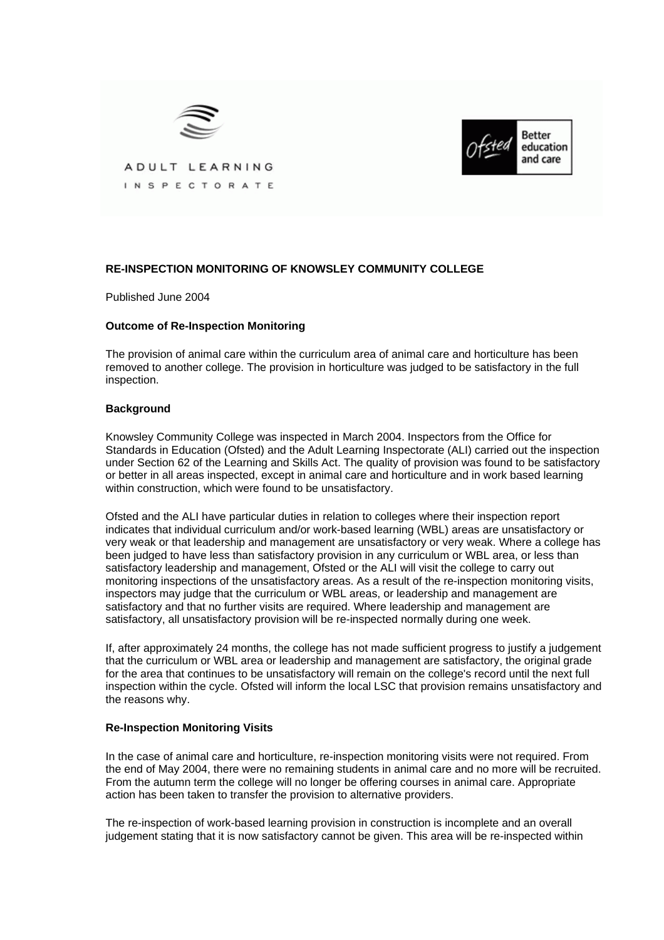



ADULT LEARNING INSPECTORATE

## **RE-INSPECTION MONITORING OF KNOWSLEY COMMUNITY COLLEGE**

Published June 2004

## **Outcome of Re-Inspection Monitoring**

The provision of animal care within the curriculum area of animal care and horticulture has been removed to another college. The provision in horticulture was judged to be satisfactory in the full inspection.

## **Background**

Knowsley Community College was inspected in March 2004. Inspectors from the Office for Standards in Education (Ofsted) and the Adult Learning Inspectorate (ALI) carried out the inspection under Section 62 of the Learning and Skills Act. The quality of provision was found to be satisfactory or better in all areas inspected, except in animal care and horticulture and in work based learning within construction, which were found to be unsatisfactory.

Ofsted and the ALI have particular duties in relation to colleges where their inspection report indicates that individual curriculum and/or work-based learning (WBL) areas are unsatisfactory or very weak or that leadership and management are unsatisfactory or very weak. Where a college has been judged to have less than satisfactory provision in any curriculum or WBL area, or less than satisfactory leadership and management, Ofsted or the ALI will visit the college to carry out monitoring inspections of the unsatisfactory areas. As a result of the re-inspection monitoring visits, inspectors may judge that the curriculum or WBL areas, or leadership and management are satisfactory and that no further visits are required. Where leadership and management are satisfactory, all unsatisfactory provision will be re-inspected normally during one week.

If, after approximately 24 months, the college has not made sufficient progress to justify a judgement that the curriculum or WBL area or leadership and management are satisfactory, the original grade for the area that continues to be unsatisfactory will remain on the college's record until the next full inspection within the cycle. Ofsted will inform the local LSC that provision remains unsatisfactory and the reasons why.

## **Re-Inspection Monitoring Visits**

In the case of animal care and horticulture, re-inspection monitoring visits were not required. From the end of May 2004, there were no remaining students in animal care and no more will be recruited. From the autumn term the college will no longer be offering courses in animal care. Appropriate action has been taken to transfer the provision to alternative providers.

The re-inspection of work-based learning provision in construction is incomplete and an overall judgement stating that it is now satisfactory cannot be given. This area will be re-inspected within